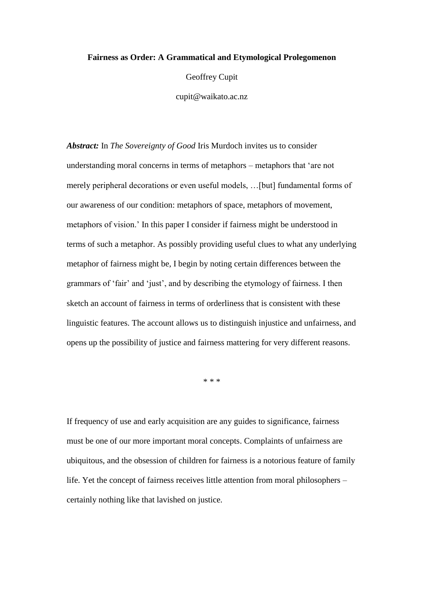## **Fairness as Order: A Grammatical and Etymological Prolegomenon**

Geoffrey Cupit

cupit@waikato.ac.nz

*Abstract:* In *The Sovereignty of Good* Iris Murdoch invites us to consider understanding moral concerns in terms of metaphors – metaphors that 'are not merely peripheral decorations or even useful models, …[but] fundamental forms of our awareness of our condition: metaphors of space, metaphors of movement, metaphors of vision.' In this paper I consider if fairness might be understood in terms of such a metaphor. As possibly providing useful clues to what any underlying metaphor of fairness might be, I begin by noting certain differences between the grammars of 'fair' and 'just', and by describing the etymology of fairness. I then sketch an account of fairness in terms of orderliness that is consistent with these linguistic features. The account allows us to distinguish injustice and unfairness, and opens up the possibility of justice and fairness mattering for very different reasons.

\* \* \*

If frequency of use and early acquisition are any guides to significance, fairness must be one of our more important moral concepts. Complaints of unfairness are ubiquitous, and the obsession of children for fairness is a notorious feature of family life. Yet the concept of fairness receives little attention from moral philosophers – certainly nothing like that lavished on justice.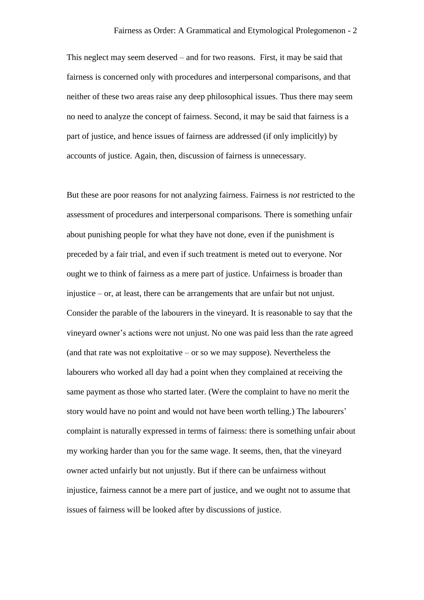This neglect may seem deserved – and for two reasons. First, it may be said that fairness is concerned only with procedures and interpersonal comparisons, and that neither of these two areas raise any deep philosophical issues. Thus there may seem no need to analyze the concept of fairness. Second, it may be said that fairness is a part of justice, and hence issues of fairness are addressed (if only implicitly) by accounts of justice. Again, then, discussion of fairness is unnecessary.

But these are poor reasons for not analyzing fairness. Fairness is *not* restricted to the assessment of procedures and interpersonal comparisons. There is something unfair about punishing people for what they have not done, even if the punishment is preceded by a fair trial, and even if such treatment is meted out to everyone. Nor ought we to think of fairness as a mere part of justice. Unfairness is broader than injustice – or, at least, there can be arrangements that are unfair but not unjust. Consider the parable of the labourers in the vineyard. It is reasonable to say that the vineyard owner's actions were not unjust. No one was paid less than the rate agreed (and that rate was not exploitative  $-$  or so we may suppose). Nevertheless the labourers who worked all day had a point when they complained at receiving the same payment as those who started later. (Were the complaint to have no merit the story would have no point and would not have been worth telling.) The labourers' complaint is naturally expressed in terms of fairness: there is something unfair about my working harder than you for the same wage. It seems, then, that the vineyard owner acted unfairly but not unjustly. But if there can be unfairness without injustice, fairness cannot be a mere part of justice, and we ought not to assume that issues of fairness will be looked after by discussions of justice.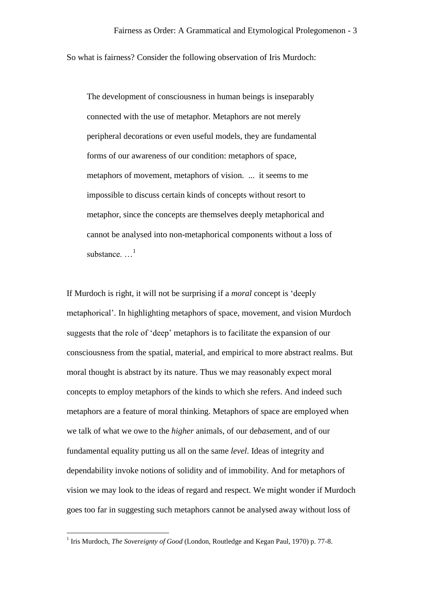So what is fairness? Consider the following observation of Iris Murdoch:

The development of consciousness in human beings is inseparably connected with the use of metaphor. Metaphors are not merely peripheral decorations or even useful models, they are fundamental forms of our awareness of our condition: metaphors of space, metaphors of movement, metaphors of vision. ... it seems to me impossible to discuss certain kinds of concepts without resort to metaphor, since the concepts are themselves deeply metaphorical and cannot be analysed into non-metaphorical components without a loss of substance.  $\ldots$ <sup>1</sup>

If Murdoch is right, it will not be surprising if a *moral* concept is 'deeply metaphorical'. In highlighting metaphors of space, movement, and vision Murdoch suggests that the role of 'deep' metaphors is to facilitate the expansion of our consciousness from the spatial, material, and empirical to more abstract realms. But moral thought is abstract by its nature. Thus we may reasonably expect moral concepts to employ metaphors of the kinds to which she refers. And indeed such metaphors are a feature of moral thinking. Metaphors of space are employed when we talk of what we owe to the *higher* animals, of our de*base*ment, and of our fundamental equality putting us all on the same *level*. Ideas of integrity and dependability invoke notions of solidity and of immobility. And for metaphors of vision we may look to the ideas of regard and respect. We might wonder if Murdoch goes too far in suggesting such metaphors cannot be analysed away without loss of

<sup>&</sup>lt;sup>1</sup> Iris Murdoch, *The Sovereignty of Good* (London, Routledge and Kegan Paul, 1970) p. 77-8.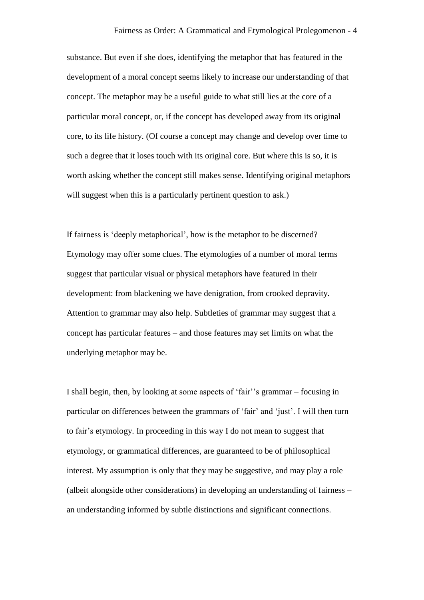substance. But even if she does, identifying the metaphor that has featured in the development of a moral concept seems likely to increase our understanding of that concept. The metaphor may be a useful guide to what still lies at the core of a particular moral concept, or, if the concept has developed away from its original core, to its life history. (Of course a concept may change and develop over time to such a degree that it loses touch with its original core. But where this is so, it is worth asking whether the concept still makes sense. Identifying original metaphors will suggest when this is a particularly pertinent question to ask.)

If fairness is 'deeply metaphorical', how is the metaphor to be discerned? Etymology may offer some clues. The etymologies of a number of moral terms suggest that particular visual or physical metaphors have featured in their development: from blackening we have denigration, from crooked depravity. Attention to grammar may also help. Subtleties of grammar may suggest that a concept has particular features – and those features may set limits on what the underlying metaphor may be.

I shall begin, then, by looking at some aspects of 'fair''s grammar – focusing in particular on differences between the grammars of 'fair' and 'just'. I will then turn to fair's etymology. In proceeding in this way I do not mean to suggest that etymology, or grammatical differences, are guaranteed to be of philosophical interest. My assumption is only that they may be suggestive, and may play a role (albeit alongside other considerations) in developing an understanding of fairness – an understanding informed by subtle distinctions and significant connections.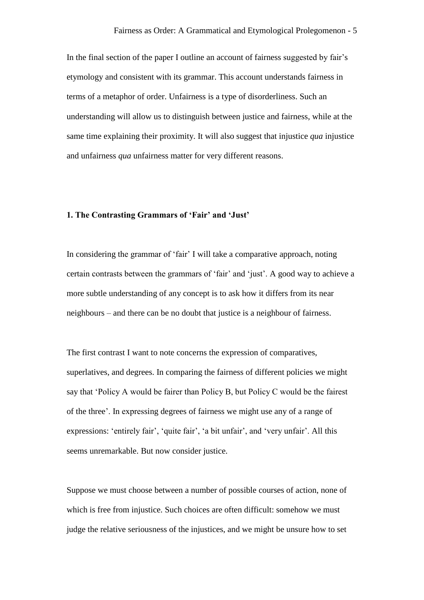In the final section of the paper I outline an account of fairness suggested by fair's etymology and consistent with its grammar. This account understands fairness in terms of a metaphor of order. Unfairness is a type of disorderliness. Such an understanding will allow us to distinguish between justice and fairness, while at the same time explaining their proximity. It will also suggest that injustice *qua* injustice and unfairness *qua* unfairness matter for very different reasons.

## **1. The Contrasting Grammars of 'Fair' and 'Just'**

In considering the grammar of 'fair' I will take a comparative approach, noting certain contrasts between the grammars of 'fair' and 'just'. A good way to achieve a more subtle understanding of any concept is to ask how it differs from its near neighbours – and there can be no doubt that justice is a neighbour of fairness.

The first contrast I want to note concerns the expression of comparatives, superlatives, and degrees. In comparing the fairness of different policies we might say that 'Policy A would be fairer than Policy B, but Policy C would be the fairest of the three'. In expressing degrees of fairness we might use any of a range of expressions: 'entirely fair', 'quite fair', 'a bit unfair', and 'very unfair'. All this seems unremarkable. But now consider justice.

Suppose we must choose between a number of possible courses of action, none of which is free from injustice. Such choices are often difficult: somehow we must judge the relative seriousness of the injustices, and we might be unsure how to set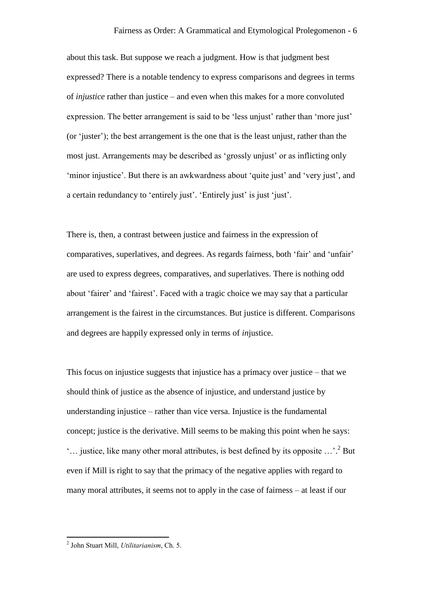about this task. But suppose we reach a judgment. How is that judgment best expressed? There is a notable tendency to express comparisons and degrees in terms of *injustice* rather than justice – and even when this makes for a more convoluted expression. The better arrangement is said to be 'less unjust' rather than 'more just' (or 'juster'); the best arrangement is the one that is the least unjust, rather than the most just. Arrangements may be described as 'grossly unjust' or as inflicting only 'minor injustice'. But there is an awkwardness about 'quite just' and 'very just', and a certain redundancy to 'entirely just'. 'Entirely just' is just 'just'.

There is, then, a contrast between justice and fairness in the expression of comparatives, superlatives, and degrees. As regards fairness, both 'fair' and 'unfair' are used to express degrees, comparatives, and superlatives. There is nothing odd about 'fairer' and 'fairest'. Faced with a tragic choice we may say that a particular arrangement is the fairest in the circumstances. But justice is different. Comparisons and degrees are happily expressed only in terms of *in*justice.

This focus on injustice suggests that injustice has a primacy over justice – that we should think of justice as the absence of injustice, and understand justice by understanding injustice – rather than vice versa. Injustice is the fundamental concept; justice is the derivative. Mill seems to be making this point when he says: '... justice, like many other moral attributes, is best defined by its opposite  $\ldots$ .<sup>2</sup> But even if Mill is right to say that the primacy of the negative applies with regard to many moral attributes, it seems not to apply in the case of fairness – at least if our

 2 John Stuart Mill, *Utilitarianism*, Ch. 5.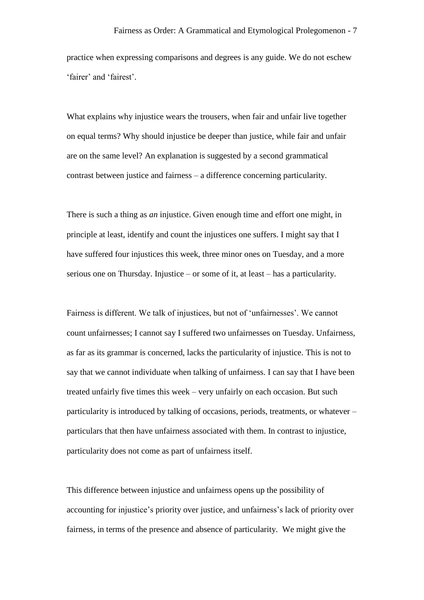practice when expressing comparisons and degrees is any guide. We do not eschew 'fairer' and 'fairest'.

What explains why injustice wears the trousers, when fair and unfair live together on equal terms? Why should injustice be deeper than justice, while fair and unfair are on the same level? An explanation is suggested by a second grammatical contrast between justice and fairness – a difference concerning particularity.

There is such a thing as *an* injustice. Given enough time and effort one might, in principle at least, identify and count the injustices one suffers. I might say that I have suffered four injustices this week, three minor ones on Tuesday, and a more serious one on Thursday. Injustice – or some of it, at least – has a particularity.

Fairness is different. We talk of injustices, but not of 'unfairnesses'. We cannot count unfairnesses; I cannot say I suffered two unfairnesses on Tuesday. Unfairness, as far as its grammar is concerned, lacks the particularity of injustice. This is not to say that we cannot individuate when talking of unfairness. I can say that I have been treated unfairly five times this week – very unfairly on each occasion. But such particularity is introduced by talking of occasions, periods, treatments, or whatever – particulars that then have unfairness associated with them. In contrast to injustice, particularity does not come as part of unfairness itself.

This difference between injustice and unfairness opens up the possibility of accounting for injustice's priority over justice, and unfairness's lack of priority over fairness, in terms of the presence and absence of particularity. We might give the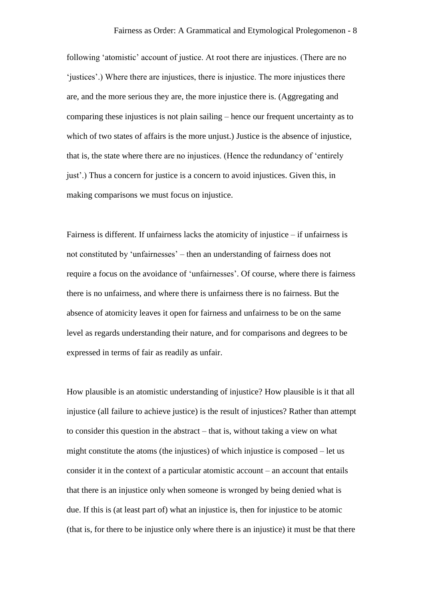following 'atomistic' account of justice. At root there are injustices. (There are no 'justices'.) Where there are injustices, there is injustice. The more injustices there are, and the more serious they are, the more injustice there is. (Aggregating and comparing these injustices is not plain sailing – hence our frequent uncertainty as to which of two states of affairs is the more unjust.) Justice is the absence of injustice, that is, the state where there are no injustices. (Hence the redundancy of 'entirely just'.) Thus a concern for justice is a concern to avoid injustices. Given this, in making comparisons we must focus on injustice.

Fairness is different. If unfairness lacks the atomicity of injustice – if unfairness is not constituted by 'unfairnesses' – then an understanding of fairness does not require a focus on the avoidance of 'unfairnesses'. Of course, where there is fairness there is no unfairness, and where there is unfairness there is no fairness. But the absence of atomicity leaves it open for fairness and unfairness to be on the same level as regards understanding their nature, and for comparisons and degrees to be expressed in terms of fair as readily as unfair.

How plausible is an atomistic understanding of injustice? How plausible is it that all injustice (all failure to achieve justice) is the result of injustices? Rather than attempt to consider this question in the abstract – that is, without taking a view on what might constitute the atoms (the injustices) of which injustice is composed – let us consider it in the context of a particular atomistic account – an account that entails that there is an injustice only when someone is wronged by being denied what is due. If this is (at least part of) what an injustice is, then for injustice to be atomic (that is, for there to be injustice only where there is an injustice) it must be that there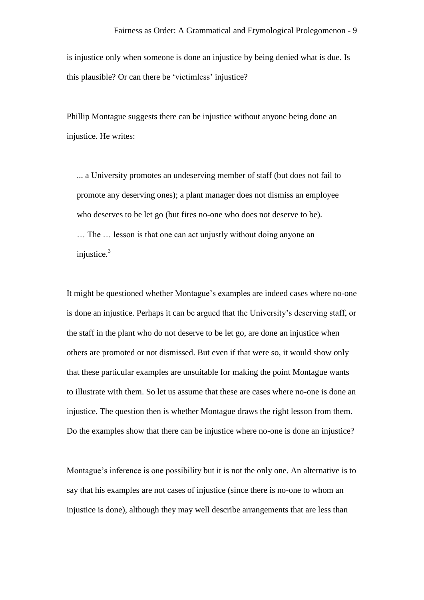is injustice only when someone is done an injustice by being denied what is due. Is this plausible? Or can there be 'victimless' injustice?

Phillip Montague suggests there can be injustice without anyone being done an injustice. He writes:

... a University promotes an undeserving member of staff (but does not fail to promote any deserving ones); a plant manager does not dismiss an employee who deserves to be let go (but fires no-one who does not deserve to be). … The … lesson is that one can act unjustly without doing anyone an injustice. $3$ 

It might be questioned whether Montague's examples are indeed cases where no-one is done an injustice. Perhaps it can be argued that the University's deserving staff, or the staff in the plant who do not deserve to be let go, are done an injustice when others are promoted or not dismissed. But even if that were so, it would show only that these particular examples are unsuitable for making the point Montague wants to illustrate with them. So let us assume that these are cases where no-one is done an injustice. The question then is whether Montague draws the right lesson from them. Do the examples show that there can be injustice where no-one is done an injustice?

Montague's inference is one possibility but it is not the only one. An alternative is to say that his examples are not cases of injustice (since there is no-one to whom an injustice is done), although they may well describe arrangements that are less than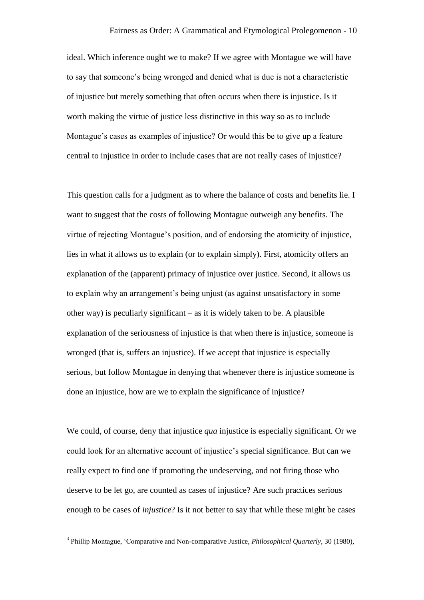ideal. Which inference ought we to make? If we agree with Montague we will have to say that someone's being wronged and denied what is due is not a characteristic of injustice but merely something that often occurs when there is injustice. Is it worth making the virtue of justice less distinctive in this way so as to include Montague's cases as examples of injustice? Or would this be to give up a feature central to injustice in order to include cases that are not really cases of injustice?

This question calls for a judgment as to where the balance of costs and benefits lie. I want to suggest that the costs of following Montague outweigh any benefits. The virtue of rejecting Montague's position, and of endorsing the atomicity of injustice, lies in what it allows us to explain (or to explain simply). First, atomicity offers an explanation of the (apparent) primacy of injustice over justice. Second, it allows us to explain why an arrangement's being unjust (as against unsatisfactory in some other way) is peculiarly significant  $-$  as it is widely taken to be. A plausible explanation of the seriousness of injustice is that when there is injustice, someone is wronged (that is, suffers an injustice). If we accept that injustice is especially serious, but follow Montague in denying that whenever there is injustice someone is done an injustice, how are we to explain the significance of injustice?

We could, of course, deny that injustice *qua* injustice is especially significant. Or we could look for an alternative account of injustice's special significance. But can we really expect to find one if promoting the undeserving, and not firing those who deserve to be let go, are counted as cases of injustice? Are such practices serious enough to be cases of *injustice*? Is it not better to say that while these might be cases

<sup>3</sup> Phillip Montague, 'Comparative and Non-comparative Justice, *Philosophical Quarterly*, 30 (1980),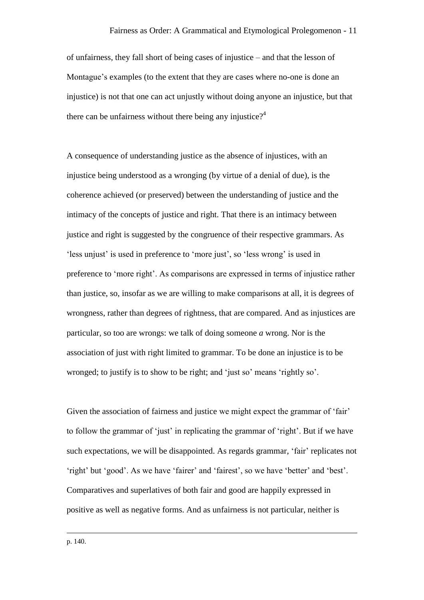of unfairness, they fall short of being cases of injustice – and that the lesson of Montague's examples (to the extent that they are cases where no-one is done an injustice) is not that one can act unjustly without doing anyone an injustice, but that there can be unfairness without there being any injustice?<sup>4</sup>

A consequence of understanding justice as the absence of injustices, with an injustice being understood as a wronging (by virtue of a denial of due), is the coherence achieved (or preserved) between the understanding of justice and the intimacy of the concepts of justice and right. That there is an intimacy between justice and right is suggested by the congruence of their respective grammars. As 'less unjust' is used in preference to 'more just', so 'less wrong' is used in preference to 'more right'. As comparisons are expressed in terms of injustice rather than justice, so, insofar as we are willing to make comparisons at all, it is degrees of wrongness, rather than degrees of rightness, that are compared. And as injustices are particular, so too are wrongs: we talk of doing someone *a* wrong. Nor is the association of just with right limited to grammar. To be done an injustice is to be wronged; to justify is to show to be right; and 'just so' means 'rightly so'.

Given the association of fairness and justice we might expect the grammar of 'fair' to follow the grammar of 'just' in replicating the grammar of 'right'. But if we have such expectations, we will be disappointed. As regards grammar, 'fair' replicates not 'right' but 'good'. As we have 'fairer' and 'fairest', so we have 'better' and 'best'. Comparatives and superlatives of both fair and good are happily expressed in positive as well as negative forms. And as unfairness is not particular, neither is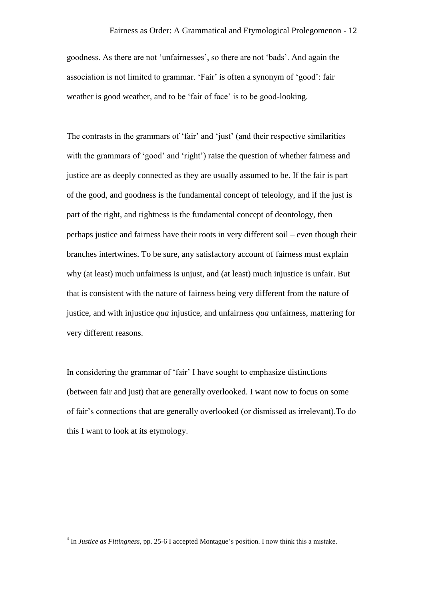goodness. As there are not 'unfairnesses', so there are not 'bads'. And again the association is not limited to grammar. 'Fair' is often a synonym of 'good': fair weather is good weather, and to be 'fair of face' is to be good-looking.

The contrasts in the grammars of 'fair' and 'just' (and their respective similarities with the grammars of 'good' and 'right') raise the question of whether fairness and justice are as deeply connected as they are usually assumed to be. If the fair is part of the good, and goodness is the fundamental concept of teleology, and if the just is part of the right, and rightness is the fundamental concept of deontology, then perhaps justice and fairness have their roots in very different soil – even though their branches intertwines. To be sure, any satisfactory account of fairness must explain why (at least) much unfairness is unjust, and (at least) much injustice is unfair. But that is consistent with the nature of fairness being very different from the nature of justice, and with injustice *qua* injustice, and unfairness *qua* unfairness, mattering for very different reasons.

In considering the grammar of 'fair' I have sought to emphasize distinctions (between fair and just) that are generally overlooked. I want now to focus on some of fair's connections that are generally overlooked (or dismissed as irrelevant).To do this I want to look at its etymology.

<sup>4</sup> In *Justice as Fittingness*, pp. 25-6 I accepted Montague's position. I now think this a mistake.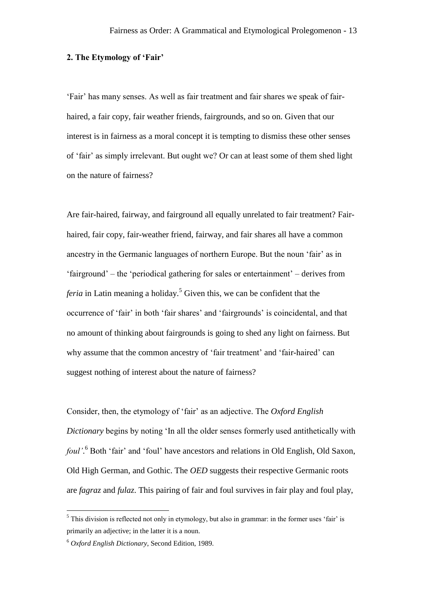## **2. The Etymology of 'Fair'**

'Fair' has many senses. As well as fair treatment and fair shares we speak of fairhaired, a fair copy, fair weather friends, fairgrounds, and so on. Given that our interest is in fairness as a moral concept it is tempting to dismiss these other senses of 'fair' as simply irrelevant. But ought we? Or can at least some of them shed light on the nature of fairness?

Are fair-haired, fairway, and fairground all equally unrelated to fair treatment? Fairhaired, fair copy, fair-weather friend, fairway, and fair shares all have a common ancestry in the Germanic languages of northern Europe. But the noun 'fair' as in 'fairground' – the 'periodical gathering for sales or entertainment' – derives from *feria* in Latin meaning a holiday.<sup>5</sup> Given this, we can be confident that the occurrence of 'fair' in both 'fair shares' and 'fairgrounds' is coincidental, and that no amount of thinking about fairgrounds is going to shed any light on fairness. But why assume that the common ancestry of 'fair treatment' and 'fair-haired' can suggest nothing of interest about the nature of fairness?

Consider, then, the etymology of 'fair' as an adjective. The *Oxford English Dictionary* begins by noting 'In all the older senses formerly used antithetically with *foul'*. <sup>6</sup> Both 'fair' and 'foul' have ancestors and relations in Old English, Old Saxon, Old High German, and Gothic. The *OED* suggests their respective Germanic roots are *fagraz* and *fulaz*. This pairing of fair and foul survives in fair play and foul play,

 $<sup>5</sup>$  This division is reflected not only in etymology, but also in grammar: in the former uses 'fair' is</sup> primarily an adjective; in the latter it is a noun.

<sup>6</sup> *Oxford English Dictionary*, Second Edition, 1989.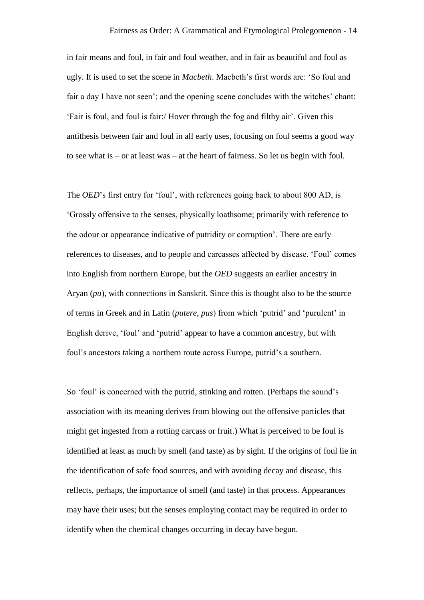in fair means and foul, in fair and foul weather, and in fair as beautiful and foul as ugly. It is used to set the scene in *Macbeth*. Macbeth's first words are: 'So foul and fair a day I have not seen'; and the opening scene concludes with the witches' chant: 'Fair is foul, and foul is fair:/ Hover through the fog and filthy air'. Given this antithesis between fair and foul in all early uses, focusing on foul seems a good way to see what is – or at least was – at the heart of fairness. So let us begin with foul.

The *OED*'s first entry for 'foul', with references going back to about 800 AD, is 'Grossly offensive to the senses, physically loathsome; primarily with reference to the odour or appearance indicative of putridity or corruption'. There are early references to diseases, and to people and carcasses affected by disease. 'Foul' comes into English from northern Europe, but the *OED* suggests an earlier ancestry in Aryan (*pu*), with connections in Sanskrit. Since this is thought also to be the source of terms in Greek and in Latin (*putere, pus*) from which 'putrid' and 'purulent' in English derive, 'foul' and 'putrid' appear to have a common ancestry, but with foul's ancestors taking a northern route across Europe, putrid's a southern.

So 'foul' is concerned with the putrid, stinking and rotten. (Perhaps the sound's association with its meaning derives from blowing out the offensive particles that might get ingested from a rotting carcass or fruit.) What is perceived to be foul is identified at least as much by smell (and taste) as by sight. If the origins of foul lie in the identification of safe food sources, and with avoiding decay and disease, this reflects, perhaps, the importance of smell (and taste) in that process. Appearances may have their uses; but the senses employing contact may be required in order to identify when the chemical changes occurring in decay have begun.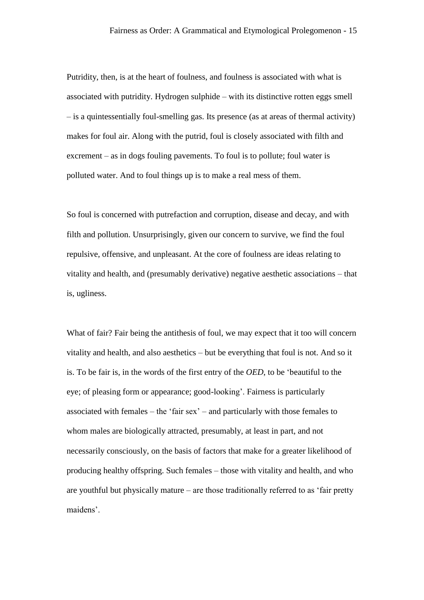Putridity, then, is at the heart of foulness, and foulness is associated with what is associated with putridity. Hydrogen sulphide – with its distinctive rotten eggs smell – is a quintessentially foul-smelling gas. Its presence (as at areas of thermal activity) makes for foul air. Along with the putrid, foul is closely associated with filth and excrement – as in dogs fouling pavements. To foul is to pollute; foul water is polluted water. And to foul things up is to make a real mess of them.

So foul is concerned with putrefaction and corruption, disease and decay, and with filth and pollution. Unsurprisingly, given our concern to survive, we find the foul repulsive, offensive, and unpleasant. At the core of foulness are ideas relating to vitality and health, and (presumably derivative) negative aesthetic associations – that is, ugliness.

What of fair? Fair being the antithesis of foul, we may expect that it too will concern vitality and health, and also aesthetics – but be everything that foul is not. And so it is. To be fair is, in the words of the first entry of the *OED*, to be 'beautiful to the eye; of pleasing form or appearance; good-looking'. Fairness is particularly associated with females – the 'fair sex' – and particularly with those females to whom males are biologically attracted, presumably, at least in part, and not necessarily consciously, on the basis of factors that make for a greater likelihood of producing healthy offspring. Such females – those with vitality and health, and who are youthful but physically mature – are those traditionally referred to as 'fair pretty maidens'.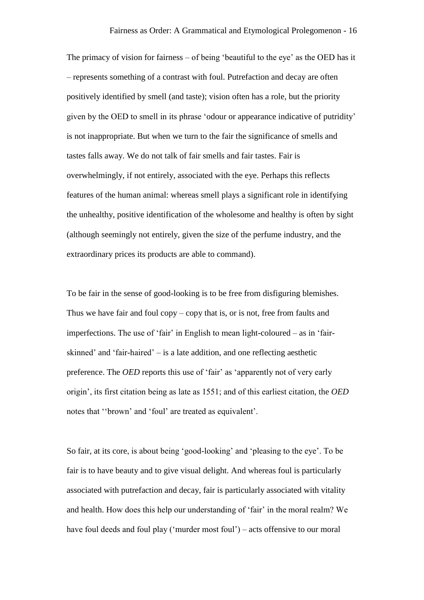The primacy of vision for fairness – of being 'beautiful to the eye' as the OED has it – represents something of a contrast with foul. Putrefaction and decay are often positively identified by smell (and taste); vision often has a role, but the priority given by the OED to smell in its phrase 'odour or appearance indicative of putridity' is not inappropriate. But when we turn to the fair the significance of smells and tastes falls away. We do not talk of fair smells and fair tastes. Fair is overwhelmingly, if not entirely, associated with the eye. Perhaps this reflects features of the human animal: whereas smell plays a significant role in identifying the unhealthy, positive identification of the wholesome and healthy is often by sight (although seemingly not entirely, given the size of the perfume industry, and the extraordinary prices its products are able to command).

To be fair in the sense of good-looking is to be free from disfiguring blemishes. Thus we have fair and foul  $copy - copy$  that is, or is not, free from faults and imperfections. The use of 'fair' in English to mean light-coloured – as in 'fairskinned' and 'fair-haired' – is a late addition, and one reflecting aesthetic preference. The *OED* reports this use of 'fair' as 'apparently not of very early origin', its first citation being as late as 1551; and of this earliest citation, the *OED* notes that ''brown' and 'foul' are treated as equivalent'.

So fair, at its core, is about being 'good-looking' and 'pleasing to the eye'. To be fair is to have beauty and to give visual delight. And whereas foul is particularly associated with putrefaction and decay, fair is particularly associated with vitality and health. How does this help our understanding of 'fair' in the moral realm? We have foul deeds and foul play ('murder most foul') – acts offensive to our moral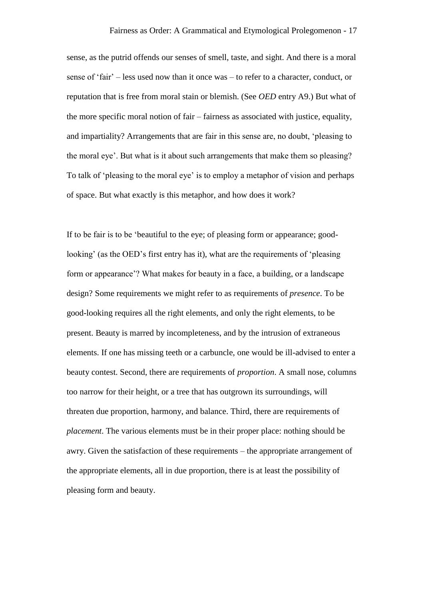sense, as the putrid offends our senses of smell, taste, and sight. And there is a moral sense of 'fair' – less used now than it once was – to refer to a character, conduct, or reputation that is free from moral stain or blemish. (See *OED* entry A9.) But what of the more specific moral notion of fair – fairness as associated with justice, equality, and impartiality? Arrangements that are fair in this sense are, no doubt, 'pleasing to the moral eye'. But what is it about such arrangements that make them so pleasing? To talk of 'pleasing to the moral eye' is to employ a metaphor of vision and perhaps of space. But what exactly is this metaphor, and how does it work?

If to be fair is to be 'beautiful to the eye; of pleasing form or appearance; goodlooking' (as the OED's first entry has it), what are the requirements of 'pleasing form or appearance'? What makes for beauty in a face, a building, or a landscape design? Some requirements we might refer to as requirements of *presence*. To be good-looking requires all the right elements, and only the right elements, to be present. Beauty is marred by incompleteness, and by the intrusion of extraneous elements. If one has missing teeth or a carbuncle, one would be ill-advised to enter a beauty contest. Second, there are requirements of *proportion*. A small nose, columns too narrow for their height, or a tree that has outgrown its surroundings, will threaten due proportion, harmony, and balance. Third, there are requirements of *placement*. The various elements must be in their proper place: nothing should be awry. Given the satisfaction of these requirements – the appropriate arrangement of the appropriate elements, all in due proportion, there is at least the possibility of pleasing form and beauty.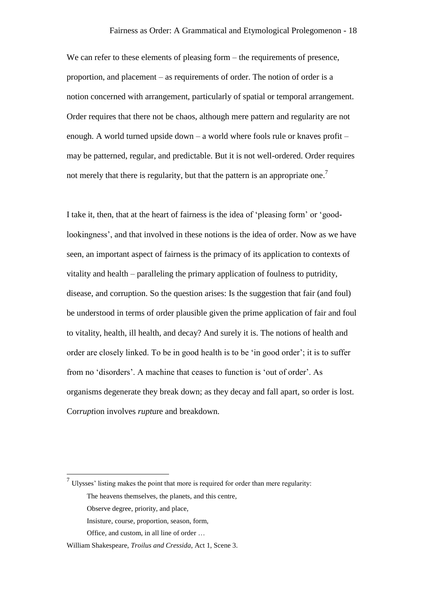We can refer to these elements of pleasing form – the requirements of presence, proportion, and placement – as requirements of order. The notion of order is a notion concerned with arrangement, particularly of spatial or temporal arrangement. Order requires that there not be chaos, although mere pattern and regularity are not enough. A world turned upside down – a world where fools rule or knaves profit – may be patterned, regular, and predictable. But it is not well-ordered. Order requires not merely that there is regularity, but that the pattern is an appropriate one.<sup>7</sup>

I take it, then, that at the heart of fairness is the idea of 'pleasing form' or 'goodlookingness', and that involved in these notions is the idea of order. Now as we have seen, an important aspect of fairness is the primacy of its application to contexts of vitality and health – paralleling the primary application of foulness to putridity, disease, and corruption. So the question arises: Is the suggestion that fair (and foul) be understood in terms of order plausible given the prime application of fair and foul to vitality, health, ill health, and decay? And surely it is. The notions of health and order are closely linked. To be in good health is to be 'in good order'; it is to suffer from no 'disorders'. A machine that ceases to function is 'out of order'. As organisms degenerate they break down; as they decay and fall apart, so order is lost. Cor*rupt*ion involves *rupt*ure and breakdown.

 $<sup>7</sup>$  Ulysses' listing makes the point that more is required for order than mere regularity:</sup> The heavens themselves, the planets, and this centre,

Observe degree, priority, and place,

Insisture, course, proportion, season, form,

Office, and custom, in all line of order …

William Shakespeare, *Troilus and Cressida*, Act 1, Scene 3.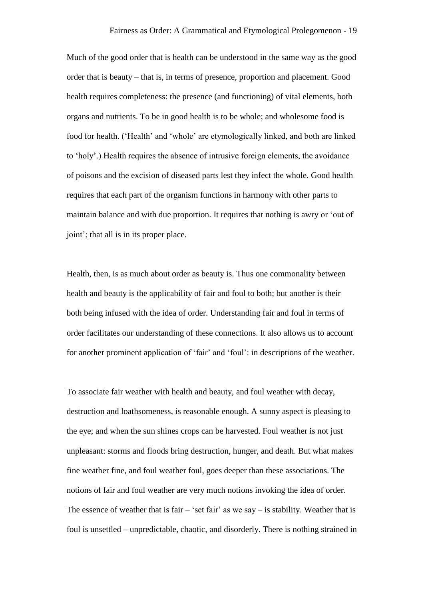Much of the good order that is health can be understood in the same way as the good order that is beauty – that is, in terms of presence, proportion and placement. Good health requires completeness: the presence (and functioning) of vital elements, both organs and nutrients. To be in good health is to be whole; and wholesome food is food for health. ('Health' and 'whole' are etymologically linked, and both are linked to 'holy'.) Health requires the absence of intrusive foreign elements, the avoidance of poisons and the excision of diseased parts lest they infect the whole. Good health requires that each part of the organism functions in harmony with other parts to maintain balance and with due proportion. It requires that nothing is awry or 'out of joint'; that all is in its proper place.

Health, then, is as much about order as beauty is. Thus one commonality between health and beauty is the applicability of fair and foul to both; but another is their both being infused with the idea of order. Understanding fair and foul in terms of order facilitates our understanding of these connections. It also allows us to account for another prominent application of 'fair' and 'foul': in descriptions of the weather.

To associate fair weather with health and beauty, and foul weather with decay, destruction and loathsomeness, is reasonable enough. A sunny aspect is pleasing to the eye; and when the sun shines crops can be harvested. Foul weather is not just unpleasant: storms and floods bring destruction, hunger, and death. But what makes fine weather fine, and foul weather foul, goes deeper than these associations. The notions of fair and foul weather are very much notions invoking the idea of order. The essence of weather that is fair – 'set fair' as we say – is stability. Weather that is foul is unsettled – unpredictable, chaotic, and disorderly. There is nothing strained in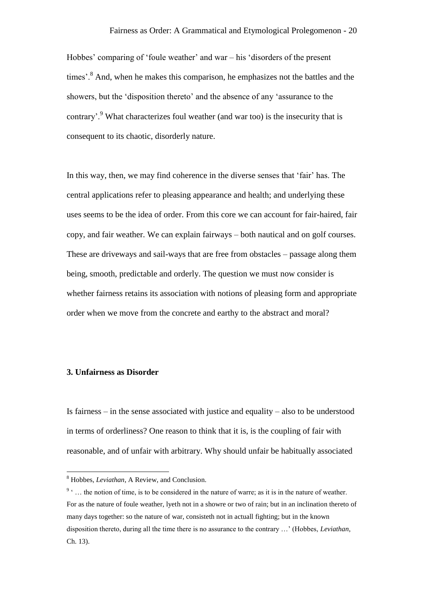Hobbes' comparing of 'foule weather' and war – his 'disorders of the present times'.<sup>8</sup> And, when he makes this comparison, he emphasizes not the battles and the showers, but the 'disposition thereto' and the absence of any 'assurance to the contrary'.<sup>9</sup> What characterizes foul weather (and war too) is the insecurity that is consequent to its chaotic, disorderly nature.

In this way, then, we may find coherence in the diverse senses that 'fair' has. The central applications refer to pleasing appearance and health; and underlying these uses seems to be the idea of order. From this core we can account for fair-haired, fair copy, and fair weather. We can explain fairways – both nautical and on golf courses. These are driveways and sail-ways that are free from obstacles – passage along them being, smooth, predictable and orderly. The question we must now consider is whether fairness retains its association with notions of pleasing form and appropriate order when we move from the concrete and earthy to the abstract and moral?

## **3. Unfairness as Disorder**

 $\overline{a}$ 

Is fairness – in the sense associated with justice and equality – also to be understood in terms of orderliness? One reason to think that it is, is the coupling of fair with reasonable, and of unfair with arbitrary. Why should unfair be habitually associated

<sup>8</sup> Hobbes, *Leviathan*, A Review, and Conclusion.

 $9 \n\t\cdot \ldots$  the notion of time, is to be considered in the nature of warre; as it is in the nature of weather. For as the nature of foule weather, lyeth not in a showre or two of rain; but in an inclination thereto of many days together: so the nature of war, consisteth not in actuall fighting; but in the known disposition thereto, during all the time there is no assurance to the contrary …' (Hobbes, *Leviathan*, Ch. 13).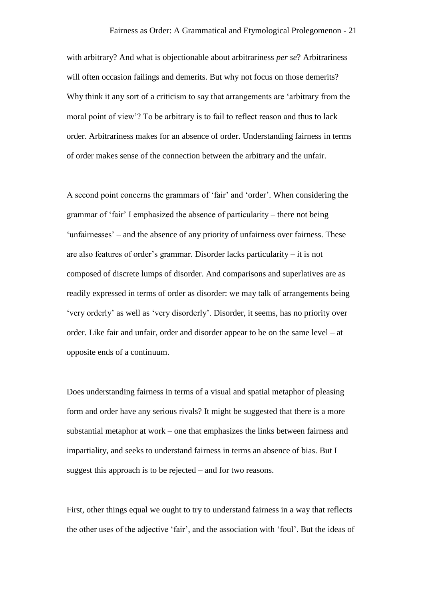with arbitrary? And what is objectionable about arbitrariness *per se*? Arbitrariness will often occasion failings and demerits. But why not focus on those demerits? Why think it any sort of a criticism to say that arrangements are 'arbitrary from the moral point of view'? To be arbitrary is to fail to reflect reason and thus to lack order. Arbitrariness makes for an absence of order. Understanding fairness in terms of order makes sense of the connection between the arbitrary and the unfair.

A second point concerns the grammars of 'fair' and 'order'. When considering the grammar of 'fair' I emphasized the absence of particularity – there not being 'unfairnesses' – and the absence of any priority of unfairness over fairness. These are also features of order's grammar. Disorder lacks particularity – it is not composed of discrete lumps of disorder. And comparisons and superlatives are as readily expressed in terms of order as disorder: we may talk of arrangements being 'very orderly' as well as 'very disorderly'. Disorder, it seems, has no priority over order. Like fair and unfair, order and disorder appear to be on the same level – at opposite ends of a continuum.

Does understanding fairness in terms of a visual and spatial metaphor of pleasing form and order have any serious rivals? It might be suggested that there is a more substantial metaphor at work – one that emphasizes the links between fairness and impartiality, and seeks to understand fairness in terms an absence of bias. But I suggest this approach is to be rejected – and for two reasons.

First, other things equal we ought to try to understand fairness in a way that reflects the other uses of the adjective 'fair', and the association with 'foul'. But the ideas of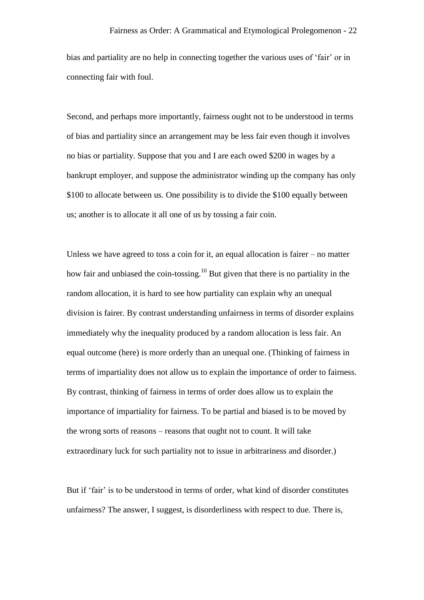bias and partiality are no help in connecting together the various uses of 'fair' or in connecting fair with foul.

Second, and perhaps more importantly, fairness ought not to be understood in terms of bias and partiality since an arrangement may be less fair even though it involves no bias or partiality. Suppose that you and I are each owed \$200 in wages by a bankrupt employer, and suppose the administrator winding up the company has only \$100 to allocate between us. One possibility is to divide the \$100 equally between us; another is to allocate it all one of us by tossing a fair coin.

Unless we have agreed to toss a coin for it, an equal allocation is fairer  $-$  no matter how fair and unbiased the coin-tossing.<sup>10</sup> But given that there is no partiality in the random allocation, it is hard to see how partiality can explain why an unequal division is fairer. By contrast understanding unfairness in terms of disorder explains immediately why the inequality produced by a random allocation is less fair. An equal outcome (here) is more orderly than an unequal one. (Thinking of fairness in terms of impartiality does not allow us to explain the importance of order to fairness. By contrast, thinking of fairness in terms of order does allow us to explain the importance of impartiality for fairness. To be partial and biased is to be moved by the wrong sorts of reasons – reasons that ought not to count. It will take extraordinary luck for such partiality not to issue in arbitrariness and disorder.)

But if 'fair' is to be understood in terms of order, what kind of disorder constitutes unfairness? The answer, I suggest, is disorderliness with respect to due. There is,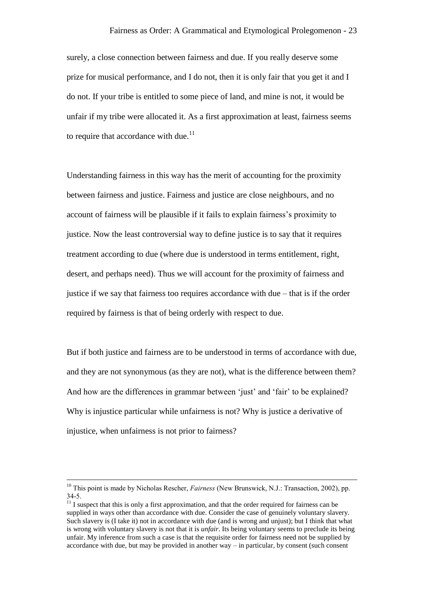surely, a close connection between fairness and due. If you really deserve some prize for musical performance, and I do not, then it is only fair that you get it and I do not. If your tribe is entitled to some piece of land, and mine is not, it would be unfair if my tribe were allocated it. As a first approximation at least, fairness seems to require that accordance with due.<sup>11</sup>

Understanding fairness in this way has the merit of accounting for the proximity between fairness and justice. Fairness and justice are close neighbours, and no account of fairness will be plausible if it fails to explain fairness's proximity to justice. Now the least controversial way to define justice is to say that it requires treatment according to due (where due is understood in terms entitlement, right, desert, and perhaps need). Thus we will account for the proximity of fairness and justice if we say that fairness too requires accordance with due – that is if the order required by fairness is that of being orderly with respect to due.

But if both justice and fairness are to be understood in terms of accordance with due, and they are not synonymous (as they are not), what is the difference between them? And how are the differences in grammar between 'just' and 'fair' to be explained? Why is injustice particular while unfairness is not? Why is justice a derivative of injustice, when unfairness is not prior to fairness?

<sup>&</sup>lt;sup>10</sup> This point is made by Nicholas Rescher, *Fairness* (New Brunswick, N.J.: Transaction, 2002), pp. 34-5.

 $11$  I suspect that this is only a first approximation, and that the order required for fairness can be supplied in ways other than accordance with due. Consider the case of genuinely voluntary slavery. Such slavery is (I take it) not in accordance with due (and is wrong and unjust); but I think that what is wrong with voluntary slavery is not that it is *unfair*. Its being voluntary seems to preclude its being unfair. My inference from such a case is that the requisite order for fairness need not be supplied by accordance with due, but may be provided in another way – in particular, by consent (such consent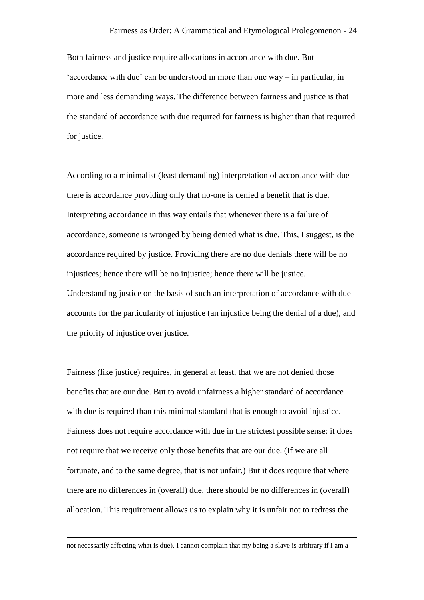Both fairness and justice require allocations in accordance with due. But 'accordance with due' can be understood in more than one way – in particular, in more and less demanding ways. The difference between fairness and justice is that the standard of accordance with due required for fairness is higher than that required for justice.

According to a minimalist (least demanding) interpretation of accordance with due there is accordance providing only that no-one is denied a benefit that is due. Interpreting accordance in this way entails that whenever there is a failure of accordance, someone is wronged by being denied what is due. This, I suggest, is the accordance required by justice. Providing there are no due denials there will be no injustices; hence there will be no injustice; hence there will be justice. Understanding justice on the basis of such an interpretation of accordance with due accounts for the particularity of injustice (an injustice being the denial of a due), and the priority of injustice over justice.

Fairness (like justice) requires, in general at least, that we are not denied those benefits that are our due. But to avoid unfairness a higher standard of accordance with due is required than this minimal standard that is enough to avoid injustice. Fairness does not require accordance with due in the strictest possible sense: it does not require that we receive only those benefits that are our due. (If we are all fortunate, and to the same degree, that is not unfair.) But it does require that where there are no differences in (overall) due, there should be no differences in (overall) allocation. This requirement allows us to explain why it is unfair not to redress the

not necessarily affecting what is due). I cannot complain that my being a slave is arbitrary if I am a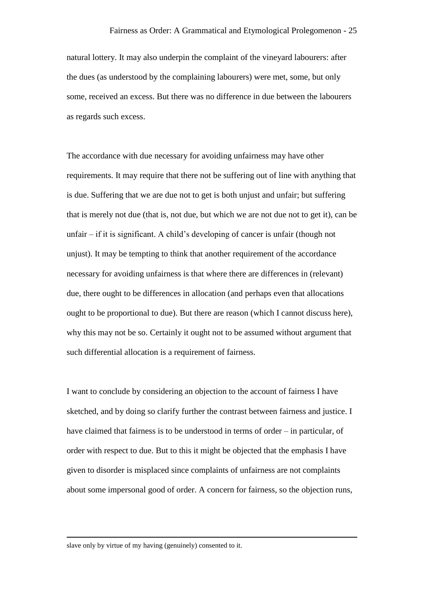natural lottery. It may also underpin the complaint of the vineyard labourers: after the dues (as understood by the complaining labourers) were met, some, but only some, received an excess. But there was no difference in due between the labourers as regards such excess.

The accordance with due necessary for avoiding unfairness may have other requirements. It may require that there not be suffering out of line with anything that is due. Suffering that we are due not to get is both unjust and unfair; but suffering that is merely not due (that is, not due, but which we are not due not to get it), can be unfair – if it is significant. A child's developing of cancer is unfair (though not unjust). It may be tempting to think that another requirement of the accordance necessary for avoiding unfairness is that where there are differences in (relevant) due, there ought to be differences in allocation (and perhaps even that allocations ought to be proportional to due). But there are reason (which I cannot discuss here), why this may not be so. Certainly it ought not to be assumed without argument that such differential allocation is a requirement of fairness.

I want to conclude by considering an objection to the account of fairness I have sketched, and by doing so clarify further the contrast between fairness and justice. I have claimed that fairness is to be understood in terms of order – in particular, of order with respect to due. But to this it might be objected that the emphasis I have given to disorder is misplaced since complaints of unfairness are not complaints about some impersonal good of order. A concern for fairness, so the objection runs,

slave only by virtue of my having (genuinely) consented to it.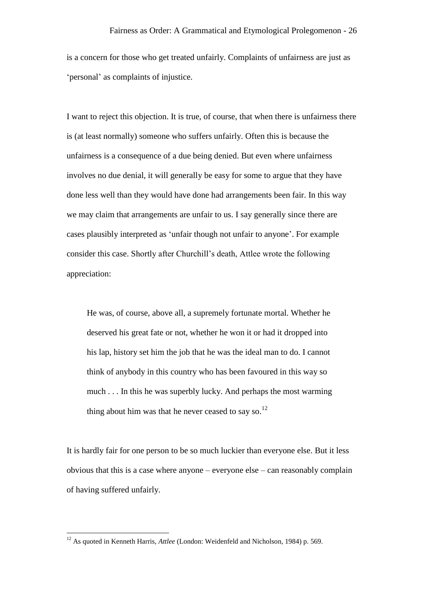is a concern for those who get treated unfairly. Complaints of unfairness are just as 'personal' as complaints of injustice.

I want to reject this objection. It is true, of course, that when there is unfairness there is (at least normally) someone who suffers unfairly. Often this is because the unfairness is a consequence of a due being denied. But even where unfairness involves no due denial, it will generally be easy for some to argue that they have done less well than they would have done had arrangements been fair. In this way we may claim that arrangements are unfair to us. I say generally since there are cases plausibly interpreted as 'unfair though not unfair to anyone'. For example consider this case. Shortly after Churchill's death, Attlee wrote the following appreciation:

He was, of course, above all, a supremely fortunate mortal. Whether he deserved his great fate or not, whether he won it or had it dropped into his lap, history set him the job that he was the ideal man to do. I cannot think of anybody in this country who has been favoured in this way so much . . . In this he was superbly lucky. And perhaps the most warming thing about him was that he never ceased to say so.<sup>12</sup>

It is hardly fair for one person to be so much luckier than everyone else. But it less obvious that this is a case where anyone – everyone else – can reasonably complain of having suffered unfairly.

<sup>&</sup>lt;sup>12</sup> As quoted in Kenneth Harris, *Attlee* (London: Weidenfeld and Nicholson, 1984) p. 569.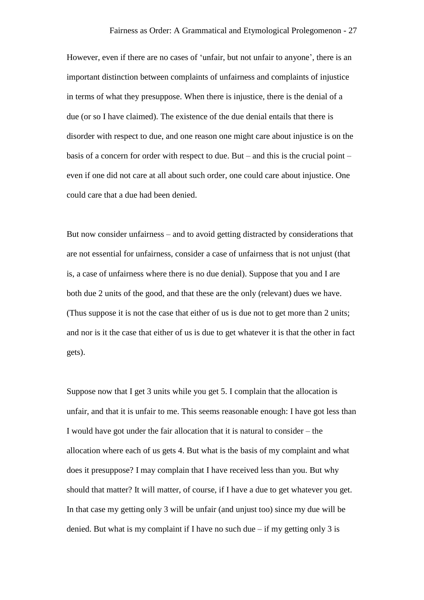However, even if there are no cases of 'unfair, but not unfair to anyone', there is an important distinction between complaints of unfairness and complaints of injustice in terms of what they presuppose. When there is injustice, there is the denial of a due (or so I have claimed). The existence of the due denial entails that there is disorder with respect to due, and one reason one might care about injustice is on the basis of a concern for order with respect to due. But – and this is the crucial point – even if one did not care at all about such order, one could care about injustice. One could care that a due had been denied.

But now consider unfairness – and to avoid getting distracted by considerations that are not essential for unfairness, consider a case of unfairness that is not unjust (that is, a case of unfairness where there is no due denial). Suppose that you and I are both due 2 units of the good, and that these are the only (relevant) dues we have. (Thus suppose it is not the case that either of us is due not to get more than 2 units; and nor is it the case that either of us is due to get whatever it is that the other in fact gets).

Suppose now that I get 3 units while you get 5. I complain that the allocation is unfair, and that it is unfair to me. This seems reasonable enough: I have got less than I would have got under the fair allocation that it is natural to consider – the allocation where each of us gets 4. But what is the basis of my complaint and what does it presuppose? I may complain that I have received less than you. But why should that matter? It will matter, of course, if I have a due to get whatever you get. In that case my getting only 3 will be unfair (and unjust too) since my due will be denied. But what is my complaint if I have no such due – if my getting only 3 is